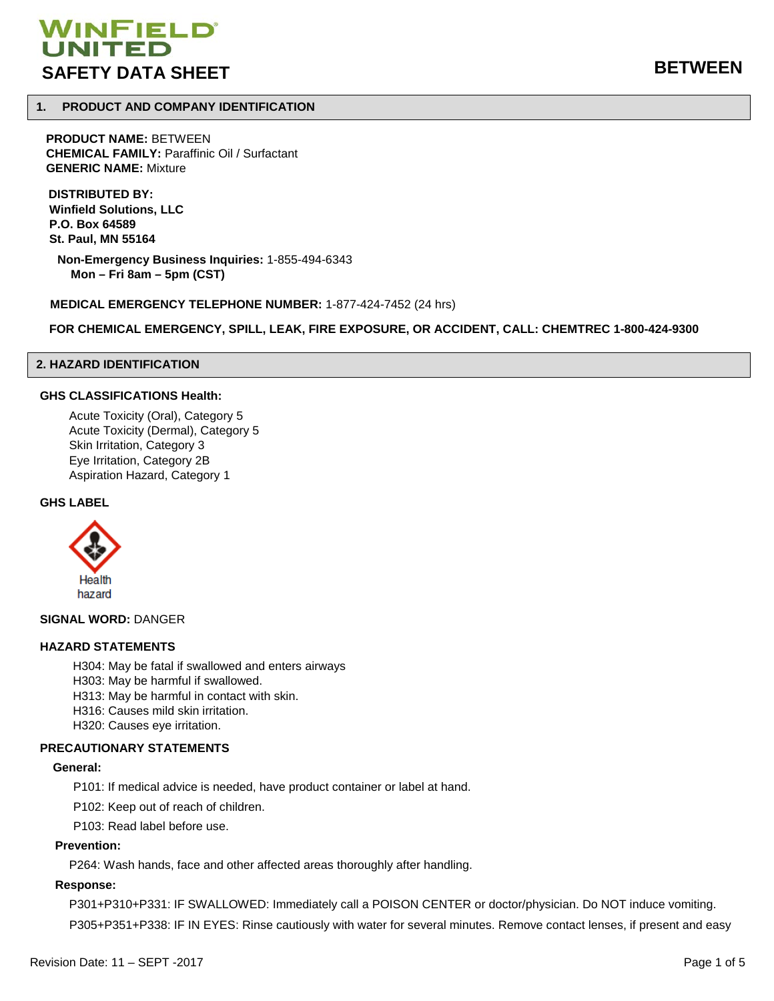# WINFIELD<sup>®</sup> **SAFETY DATA SHEET BETWEEN**

# **1. PRODUCT AND COMPANY IDENTIFICATION**

**PRODUCT NAME:** BETWEEN **CHEMICAL FAMILY:** Paraffinic Oil / Surfactant **GENERIC NAME:** Mixture

**DISTRIBUTED BY: Winfield Solutions, LLC P.O. Box 64589 St. Paul, MN 55164**

 **Non-Emergency Business Inquiries:** 1-855-494-6343 **Mon – Fri 8am – 5pm (CST)**

**MEDICAL EMERGENCY TELEPHONE NUMBER:** 1-877-424-7452 (24 hrs)

**FOR CHEMICAL EMERGENCY, SPILL, LEAK, FIRE EXPOSURE, OR ACCIDENT, CALL: CHEMTREC 1-800-424-9300**

# **2. HAZARD IDENTIFICATION**

## **GHS CLASSIFICATIONS Health:**

Acute Toxicity (Oral), Category 5 Acute Toxicity (Dermal), Category 5 Skin Irritation, Category 3 Eye Irritation, Category 2B Aspiration Hazard, Category 1

#### **GHS LABEL**



**SIGNAL WORD:** DANGER

#### **HAZARD STATEMENTS**

- H304: May be fatal if swallowed and enters airways
- H303: May be harmful if swallowed.
- H313: May be harmful in contact with skin.
- H316: Causes mild skin irritation.
- H320: Causes eye irritation.

#### **PRECAUTIONARY STATEMENTS**

#### **General:**

P101: If medical advice is needed, have product container or label at hand.

P102: Keep out of reach of children.

P103: Read label before use.

# **Prevention:**

P264: Wash hands, face and other affected areas thoroughly after handling.

#### **Response:**

P301+P310+P331: IF SWALLOWED: Immediately call a POISON CENTER or doctor/physician. Do NOT induce vomiting. P305+P351+P338: IF IN EYES: Rinse cautiously with water for several minutes. Remove contact lenses, if present and easy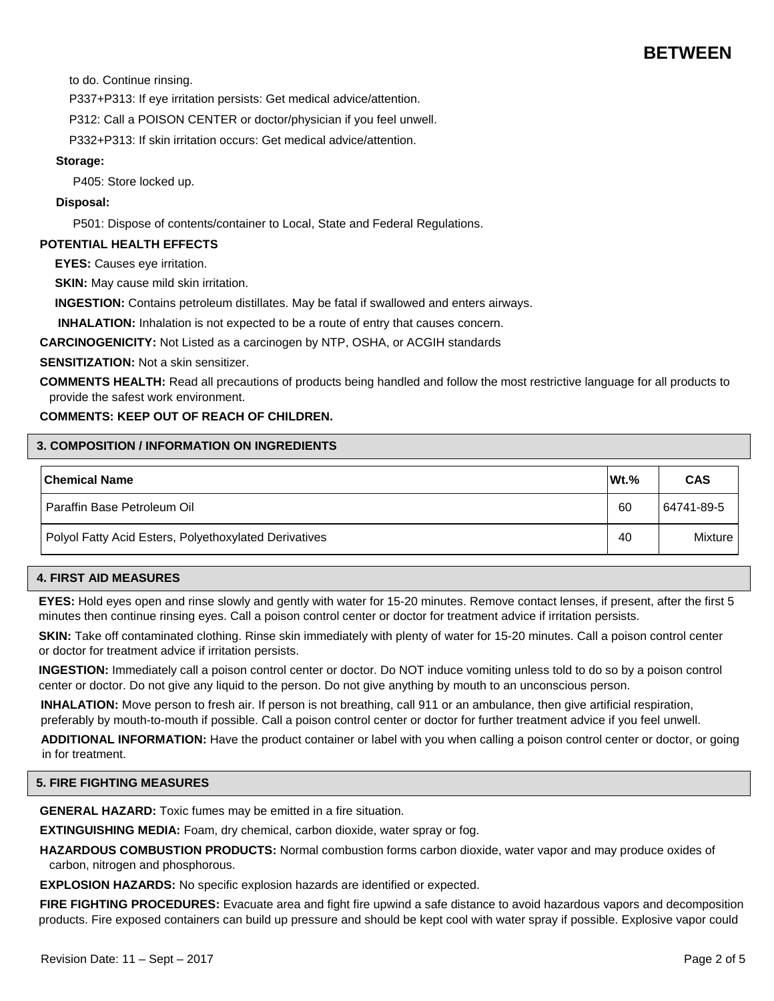# **BETWEEN**

to do. Continue rinsing.

P337+P313: If eye irritation persists: Get medical advice/attention.

P312: Call a POISON CENTER or doctor/physician if you feel unwell.

P332+P313: If skin irritation occurs: Get medical advice/attention.

#### **Storage:**

P405: Store locked up.

# **Disposal:**

P501: Dispose of contents/container to Local, State and Federal Regulations.

# **POTENTIAL HEALTH EFFECTS**

**EYES:** Causes eye irritation.

**SKIN:** May cause mild skin irritation.

**INGESTION:** Contains petroleum distillates. May be fatal if swallowed and enters airways.

**INHALATION:** Inhalation is not expected to be a route of entry that causes concern.

**CARCINOGENICITY:** Not Listed as a carcinogen by NTP, OSHA, or ACGIH standards

**SENSITIZATION:** Not a skin sensitizer.

**COMMENTS HEALTH:** Read all precautions of products being handled and follow the most restrictive language for all products to provide the safest work environment.

# **COMMENTS: KEEP OUT OF REACH OF CHILDREN.**

## **3. COMPOSITION / INFORMATION ON INGREDIENTS**

| <b>Chemical Name</b>                                  | $Wt.$ % | <b>CAS</b> |
|-------------------------------------------------------|---------|------------|
| I Paraffin Base Petroleum Oil                         | 60      | 64741-89-5 |
| Polyol Fatty Acid Esters, Polyethoxylated Derivatives | 40      | Mixture    |

#### **4. FIRST AID MEASURES**

**EYES:** Hold eyes open and rinse slowly and gently with water for 15-20 minutes. Remove contact lenses, if present, after the first 5 minutes then continue rinsing eyes. Call a poison control center or doctor for treatment advice if irritation persists.

**SKIN:** Take off contaminated clothing. Rinse skin immediately with plenty of water for 15-20 minutes. Call a poison control center or doctor for treatment advice if irritation persists.

**INGESTION:** Immediately call a poison control center or doctor. Do NOT induce vomiting unless told to do so by a poison control center or doctor. Do not give any liquid to the person. Do not give anything by mouth to an unconscious person.

 **INHALATION:** Move person to fresh air. If person is not breathing, call 911 or an ambulance, then give artificial respiration, preferably by mouth-to-mouth if possible. Call a poison control center or doctor for further treatment advice if you feel unwell.

 **ADDITIONAL INFORMATION:** Have the product container or label with you when calling a poison control center or doctor, or going in for treatment.

# **5. FIRE FIGHTING MEASURES**

**GENERAL HAZARD:** Toxic fumes may be emitted in a fire situation.

**EXTINGUISHING MEDIA:** Foam, dry chemical, carbon dioxide, water spray or fog.

**HAZARDOUS COMBUSTION PRODUCTS:** Normal combustion forms carbon dioxide, water vapor and may produce oxides of carbon, nitrogen and phosphorous.

**EXPLOSION HAZARDS:** No specific explosion hazards are identified or expected.

**FIRE FIGHTING PROCEDURES:** Evacuate area and fight fire upwind a safe distance to avoid hazardous vapors and decomposition products. Fire exposed containers can build up pressure and should be kept cool with water spray if possible. Explosive vapor could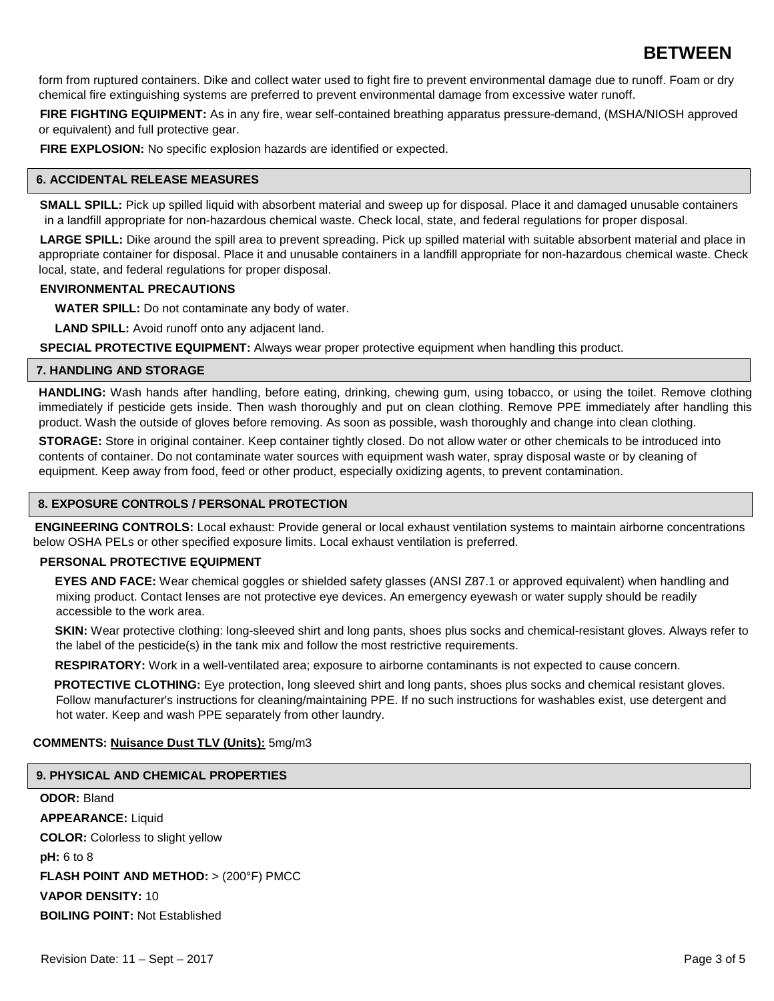# **BETWEEN**

form from ruptured containers. Dike and collect water used to fight fire to prevent environmental damage due to runoff. Foam or dry chemical fire extinguishing systems are preferred to prevent environmental damage from excessive water runoff.

**FIRE FIGHTING EQUIPMENT:** As in any fire, wear self-contained breathing apparatus pressure-demand, (MSHA/NIOSH approved or equivalent) and full protective gear.

**FIRE EXPLOSION:** No specific explosion hazards are identified or expected.

# **6. ACCIDENTAL RELEASE MEASURES**

**SMALL SPILL:** Pick up spilled liquid with absorbent material and sweep up for disposal. Place it and damaged unusable containers in a landfill appropriate for non-hazardous chemical waste. Check local, state, and federal regulations for proper disposal.

LARGE SPILL: Dike around the spill area to prevent spreading. Pick up spilled material with suitable absorbent material and place in appropriate container for disposal. Place it and unusable containers in a landfill appropriate for non-hazardous chemical waste. Check local, state, and federal regulations for proper disposal.

# **ENVIRONMENTAL PRECAUTIONS**

**WATER SPILL:** Do not contaminate any body of water.

**LAND SPILL:** Avoid runoff onto any adjacent land.

**SPECIAL PROTECTIVE EQUIPMENT:** Always wear proper protective equipment when handling this product.

## **7. HANDLING AND STORAGE**

**HANDLING:** Wash hands after handling, before eating, drinking, chewing gum, using tobacco, or using the toilet. Remove clothing immediately if pesticide gets inside. Then wash thoroughly and put on clean clothing. Remove PPE immediately after handling this product. Wash the outside of gloves before removing. As soon as possible, wash thoroughly and change into clean clothing.

**STORAGE:** Store in original container. Keep container tightly closed. Do not allow water or other chemicals to be introduced into contents of container. Do not contaminate water sources with equipment wash water, spray disposal waste or by cleaning of equipment. Keep away from food, feed or other product, especially oxidizing agents, to prevent contamination.

# **8. EXPOSURE CONTROLS / PERSONAL PROTECTION**

**ENGINEERING CONTROLS:** Local exhaust: Provide general or local exhaust ventilation systems to maintain airborne concentrations below OSHA PELs or other specified exposure limits. Local exhaust ventilation is preferred.

# **PERSONAL PROTECTIVE EQUIPMENT**

**EYES AND FACE:** Wear chemical goggles or shielded safety glasses (ANSI Z87.1 or approved equivalent) when handling and mixing product. Contact lenses are not protective eye devices. An emergency eyewash or water supply should be readily accessible to the work area.

**SKIN:** Wear protective clothing: long-sleeved shirt and long pants, shoes plus socks and chemical-resistant gloves. Always refer to the label of the pesticide(s) in the tank mix and follow the most restrictive requirements.

**RESPIRATORY:** Work in a well-ventilated area; exposure to airborne contaminants is not expected to cause concern.

**PROTECTIVE CLOTHING:** Eye protection, long sleeved shirt and long pants, shoes plus socks and chemical resistant gloves. Follow manufacturer's instructions for cleaning/maintaining PPE. If no such instructions for washables exist, use detergent and hot water. Keep and wash PPE separately from other laundry.

# **COMMENTS: Nuisance Dust TLV (Units):** 5mg/m3

# **9. PHYSICAL AND CHEMICAL PROPERTIES**

**ODOR:** Bland **APPEARANCE:** Liquid **COLOR:** Colorless to slight yellow **pH:** 6 to 8 **FLASH POINT AND METHOD:** > (200°F) PMCC **VAPOR DENSITY:** 10 **BOILING POINT:** Not Established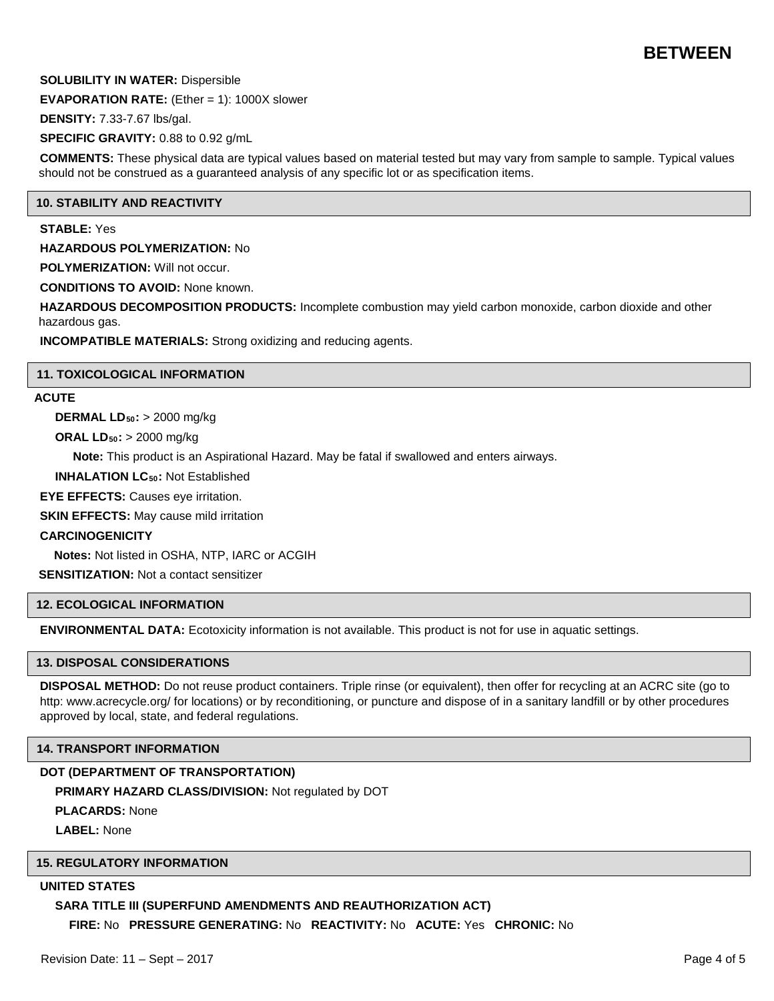# **BETWEEN**

# **SOLUBILITY IN WATER:** Dispersible

**EVAPORATION RATE:** (Ether = 1): 1000X slower

**DENSITY:** 7.33-7.67 lbs/gal.

**SPECIFIC GRAVITY:** 0.88 to 0.92 g/mL

**COMMENTS:** These physical data are typical values based on material tested but may vary from sample to sample. Typical values should not be construed as a guaranteed analysis of any specific lot or as specification items.

## **10. STABILITY AND REACTIVITY**

#### **STABLE:** Yes

**HAZARDOUS POLYMERIZATION:** No

**POLYMERIZATION:** Will not occur.

**CONDITIONS TO AVOID:** None known.

**HAZARDOUS DECOMPOSITION PRODUCTS:** Incomplete combustion may yield carbon monoxide, carbon dioxide and other hazardous gas.

**INCOMPATIBLE MATERIALS:** Strong oxidizing and reducing agents.

#### **11. TOXICOLOGICAL INFORMATION**

# **ACUTE**

**DERMAL LD50:** > 2000 mg/kg

**ORAL LD50:** > 2000 mg/kg

**Note:** This product is an Aspirational Hazard. May be fatal if swallowed and enters airways.

**INHALATION LC<sub>50</sub>: Not Established** 

**EYE EFFECTS:** Causes eye irritation.

**SKIN EFFECTS:** May cause mild irritation

#### **CARCINOGENICITY**

**Notes:** Not listed in OSHA, NTP, IARC or ACGIH

**SENSITIZATION:** Not a contact sensitizer

# **12. ECOLOGICAL INFORMATION**

**ENVIRONMENTAL DATA:** Ecotoxicity information is not available. This product is not for use in aquatic settings.

# **13. DISPOSAL CONSIDERATIONS**

**DISPOSAL METHOD:** Do not reuse product containers. Triple rinse (or equivalent), then offer for recycling at an ACRC site (go to http: www.acrecycle.org/ for locations) or by reconditioning, or puncture and dispose of in a sanitary landfill or by other procedures approved by local, state, and federal regulations.

#### **14. TRANSPORT INFORMATION**

# **DOT (DEPARTMENT OF TRANSPORTATION)**

**PRIMARY HAZARD CLASS/DIVISION:** Not regulated by DOT

**PLACARDS:** None

**LABEL:** None

## **15. REGULATORY INFORMATION**

# **UNITED STATES**

# **SARA TITLE III (SUPERFUND AMENDMENTS AND REAUTHORIZATION ACT)**

**FIRE:** No **PRESSURE GENERATING:** No **REACTIVITY:** No **ACUTE:** Yes **CHRONIC:** No